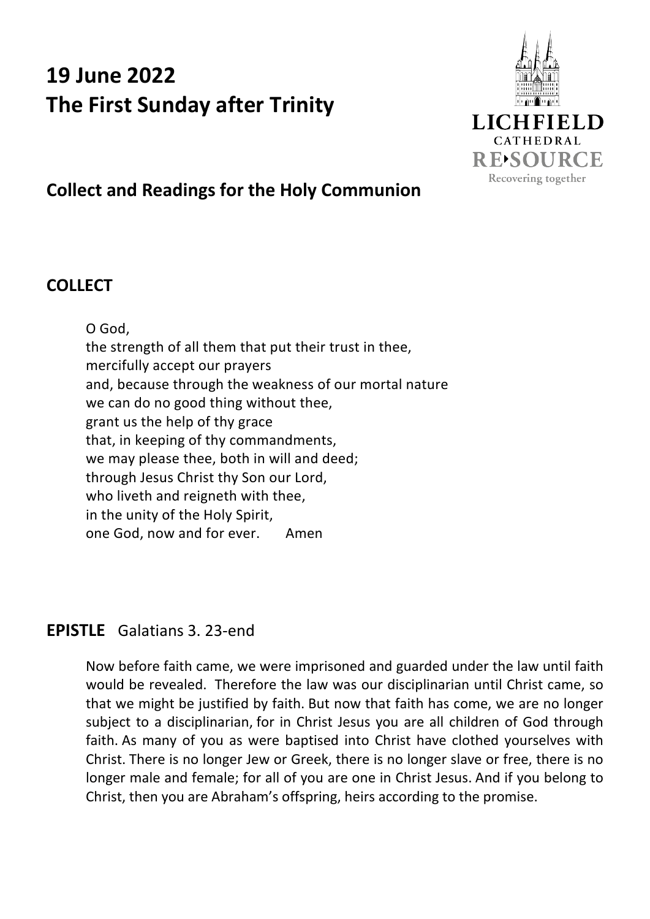# **19 June 2022 The First Sunday after Trinity**



## **Collect and Readings for the Holy Communion**

## **COLLECT**

O God, the strength of all them that put their trust in thee, mercifully accept our prayers and, because through the weakness of our mortal nature we can do no good thing without thee, grant us the help of thy grace that, in keeping of thy commandments, we may please thee, both in will and deed; through Jesus Christ thy Son our Lord, who liveth and reigneth with thee, in the unity of the Holy Spirit, one God, now and for ever. Amen

### **EPISTLE** Galatians 3. 23-end

Now before faith came, we were imprisoned and guarded under the law until faith would be revealed. Therefore the law was our disciplinarian until Christ came, so that we might be justified by faith. But now that faith has come, we are no longer subject to a disciplinarian, for in Christ Jesus you are all children of God through faith. As many of you as were baptised into Christ have clothed yourselves with Christ. There is no longer Jew or Greek, there is no longer slave or free, there is no longer male and female; for all of you are one in Christ Jesus. And if you belong to Christ, then you are Abraham's offspring, heirs according to the promise.